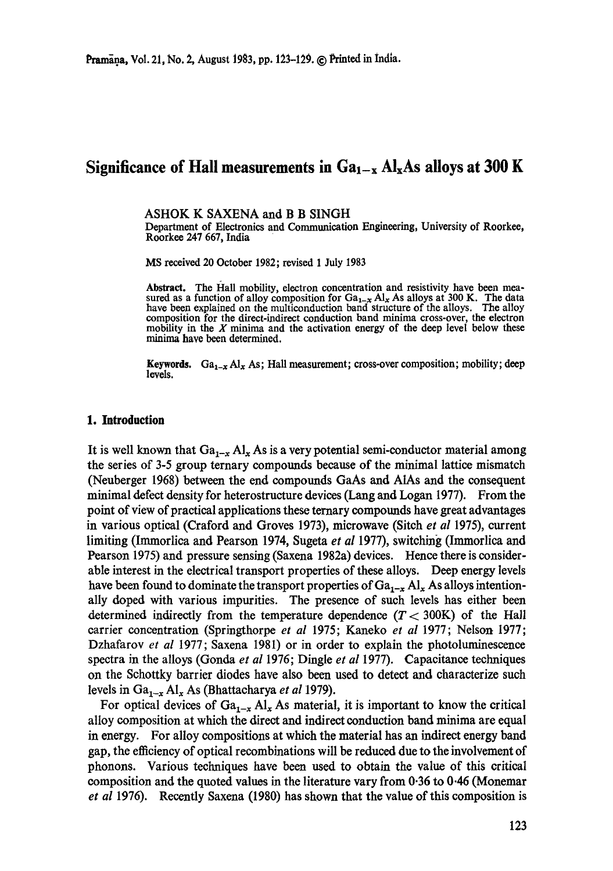# Significance of Hall measurements in  $Ga_{1-x}$   $Al_xAs$  alloys at 300 K

ASHOK K SAXENA and B B SINGH

Department of Electronics and Communication Engineering, University of Roorkee, Roorkee 247 667, India

MS received 20 October 1982; revised 1 July 1983

Abstract. The Hall mobility, electron concentration and resistivity have been measured as a function of alloy composition for  $Ga_{1-x} Al_x$  As alloys at 300 K. The data have been explained on the multiconduction band structure of the alloys. The alloy composition for the direct-indirect conduction band minima cross-over, the electron mobility in the  $X$  minima and the activation energy of the deep level below these minima have been determined.

Keywords. Ga<sub>1-x</sub> Al<sub>x</sub> As; Hall measurement; cross-over composition; mobility; deep levels.

### **1. Introduction**

It is well known that  $Ga_{1-x} A l_x As$  is a very potential semi-conductor material among the series of 3-5 group ternary compounds because of the minimal lattice mismatch (Neuberger 1968) between the end compounds GaAs and AIAs and the consequent minimal defect density for heterostructure devices (Lang and Logan 1977). From the point of view of practical applications these ternary compounds have great advantages in various optical (Craford and Groves 1973), microwave (Sitch *et al* 1975), current limiting (Immorlica and Pearson 1974, Sugeta *et al* 1977), switching (Immorlica and Pearson 1975) and pressure sensing (Saxena 1982a) devices. Hence there is considerable interest in the electrical transport properties of these alloys. Deep energy levels have been found to dominate the transport properties of  $Ga_{1-x} Al_x$  As alloys intentionally doped with various impurities. The presence of such levels has either been determined indirectly from the temperature dependence  $(T < 300K)$  of the Hall carrier concentration (Springthorpe *et al* 1975; Kaneko *et al* 1977; Nelson 1977; Dzhafarov *et al* 1977; Saxena 1981) or in order to explain the photoluminescence spectra in the alloys (Gonda *et al* 1976; Dingle *et al* 1977). Capacitance techniques on the Schottky barrier diodes have also been used to detect and characterize such levels in  $Ga_{1-x}Al_xAs$  (Bhattacharya *et al* 1979).

For optical devices of  $Ga_{1-x}Al_x$  As material, it is important to know the critical alloy composition at which the direct and indirect conduction band minima are equal in energy. For alloy compositions at which the material has an indirect energy band gap, the efficiency of optical recombinations will be reduced due to the involvement of phonons. Various techniques have been used to obtain the value of this critical composition and the quoted values in the literature vary from 0.36 to 0.46 (Monemar *et al* 1976). Recently Saxena (1980) has shown that the value of this composition is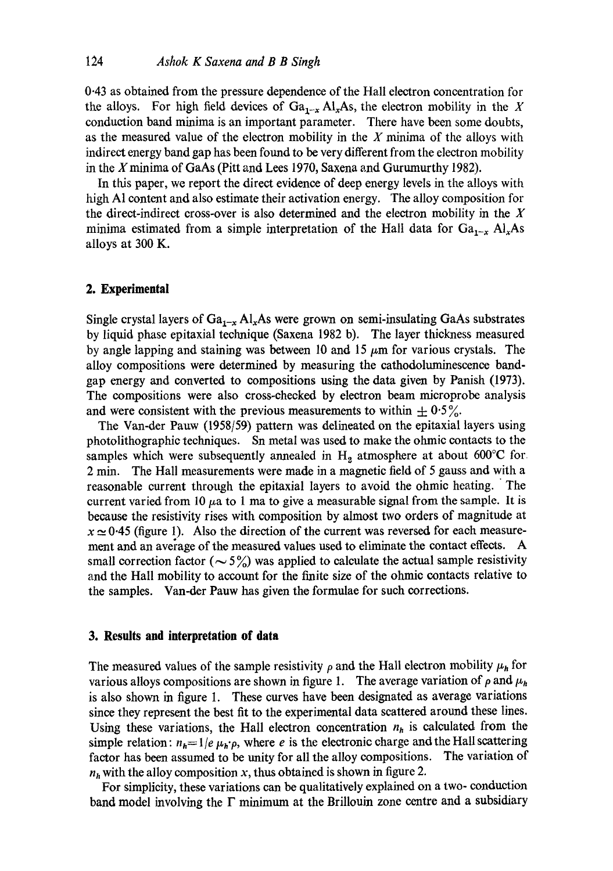0.43 as obtained from the pressure dependence of the Hall electron concentration for the alloys. For high field devices of  $Ga_{1-x} A l_x As$ , the electron mobility in the X conduction band minima is an important parameter. There have been some doubts, as the measured value of the electron mobility in the  $X$  minima of the alloys with indirect energy band gap has been found to be very different from the electron mobility in the X minima of GaAs (Pitt and Lees 1970, Saxena and Gurumurthy 1982).

In this paper, we report the direct evidence of deep energy levels in the alloys with high A1 content and also estimate their activation energy. The alloy composition for the direct-indirect cross-over is also determined and the electron mobility in the  $X$ minima estimated from a simple interpretation of the Hall data for  $Ga_{1-x}$  Al<sub>x</sub>As alloys at 300 K.

### **2. Experimental**

Single crystal layers of  $Ga_{1-x}$  Al<sub>x</sub>As were grown on semi-insulating GaAs substrates by liquid phase epitaxial technique (Saxena 1982 b). The layer thickness measured by angle lapping and staining was between 10 and 15  $\mu$ m for various crystals. The alloy compositions were determined by measuring the cathodoluminescence bandgap energy and converted to compositions using the data given by Panish (1973). The compositions were also cross-checked by electron beam microprobe analysis and were consistent with the previous measurements to within  $\pm 0.5\%$ .

The Van-der Pauw (1958/59) pattern was delineated on the epitaxial layers using photolithographic techniques. Sn metal was used to make the ohmic contacts to the samples which were subsequently annealed in  $H<sub>2</sub>$  atmosphere at about 600°C for 2 min. The Hall measurements were made in a magnetic field of 5 gauss and with a reasonable current through the epitaxial layers to avoid the ohmic heating. The current varied from 10  $\mu$ a to 1 ma to give a measurable signal from the sample. It is because the resistivity rises with composition by almost two orders of magnitude at  $x \approx 0.45$  (figure 1). Also the direction of the current was reversed for each measurement and an average of the measured values used to eliminate the contact effects. A small correction factor ( $\sim 5\%$ ) was applied to calculate the actual sample resistivity and the Hall mobility to account for the finite size of the ohmic contacts relative to the samples. Van-der Pauw has given the formulae for such corrections.

### **3. Results and interpretation of data**

The measured values of the sample resistivity  $\rho$  and the Hall electron mobility  $\mu_h$  for various alloys compositions are shown in figure 1. The average variation of  $\rho$  and  $\mu_h$ is also shown in figure 1. These curves have been designated as average variations since they represent the best fit to the experimental data scattered around these lines. Using these variations, the Hall electron concentration  $n<sub>h</sub>$  is calculated from the simple relation:  $n_h= 1/e~\mu_h$ 'p, where e is the electronic charge and the Hall scattering factor has been assumed to be unity for all the alloy compositions. The variation of  $n_h$  with the alloy composition x, thus obtained is shown in figure 2.

For simplicity, these variations can be qualitatively explained on a two- conduction band model involving the  $\Gamma$  minimum at the Brillouin zone centre and a subsidiary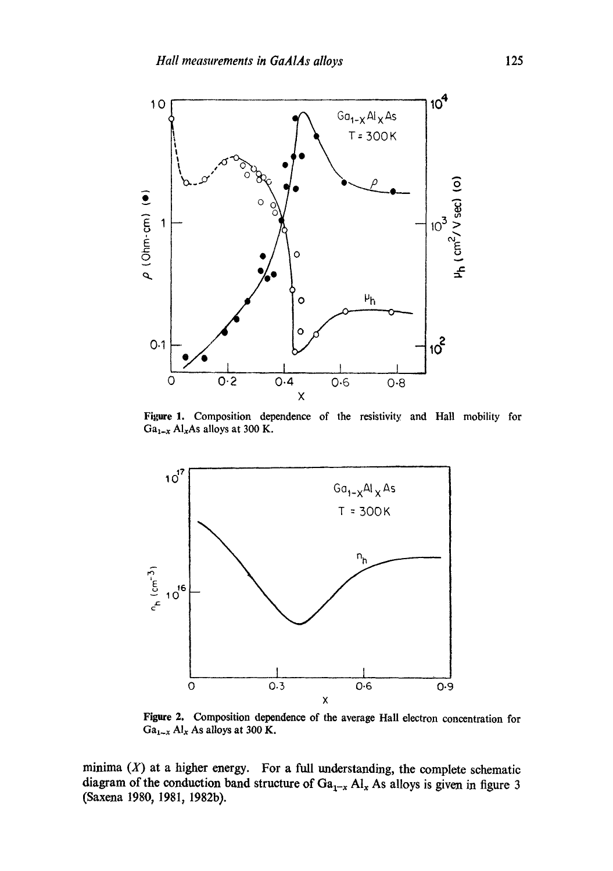

Figure 1. Composition dependence of the resistivity and Hall mobility for  $Ga_{1-x}$  Al<sub>x</sub>As alloys at 300 K.



Figure 2. Composition dependence of the average Hall electron concentration for  $Ga_{1-x}$  Al<sub>x</sub> As alloys at 300 K.

minima  $(X)$  at a higher energy. For a full understanding, the complete schematic diagram of the conduction band structure of  $Ga_{1-x}$  Al<sub>x</sub> As alloys is given in figure 3 (Saxena 1980, 1981, 1982b).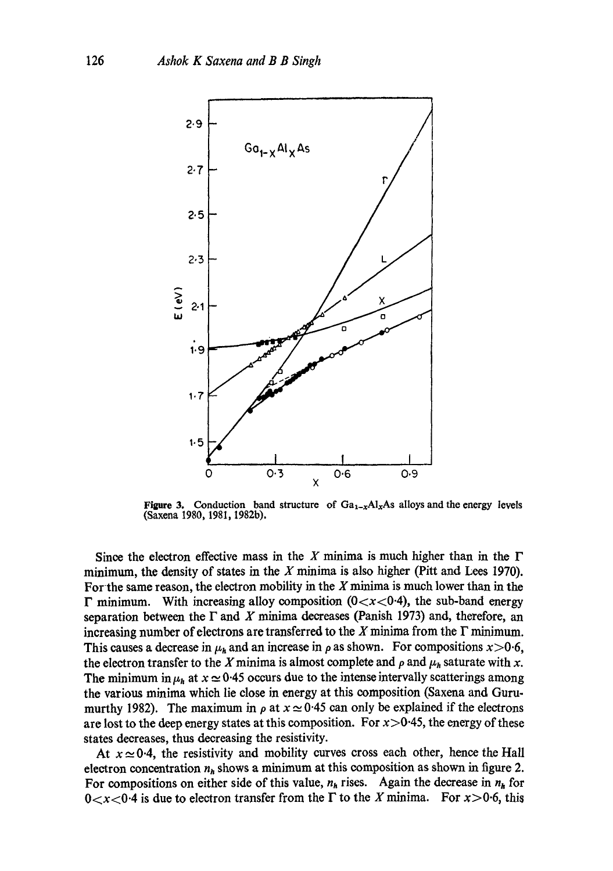

**Figure 3.** Conduction band structure of  $Ga_{1-x}Al_xAs$  alloys and the energy levels (Saxena 1980, 1981, 1982b).

Since the electron effective mass in the X minima is much higher than in the  $\Gamma$ minimum, the density of states in the  $X$  minima is also higher (Pitt and Lees 1970). For the same reason, the electron mobility in the  $X$  minima is much lower than in the  $\Gamma$  minimum. With increasing alloy composition (0 $\langle x \langle 0.4 \rangle$ ), the sub-band energy separation between the  $\Gamma$  and X minima decreases (Panish 1973) and, therefore, an increasing number of electrons are transferred to the X minima from the  $\Gamma$  minimum. This causes a decrease in  $\mu_h$  and an increase in  $\rho$  as shown. For compositions  $x>0.6$ , the electron transfer to the X minima is almost complete and  $\rho$  and  $\mu_h$  saturate with x. The minimum in  $\mu_h$  at  $x \approx 0.45$  occurs due to the intense intervally scatterings among the various minima which lie close in energy at this composition (Saxena and Gurumurthy 1982). The maximum in  $\rho$  at  $x \approx 0.45$  can only be explained if the electrons are lost to the deep energy states at this composition. For  $x > 0.45$ , the energy of these states decreases, thus decreasing the resistivity.

At  $x \approx 0.4$ , the resistivity and mobility curves cross each other, hence the Hall electron concentration  $n_h$  shows a minimum at this composition as shown in figure 2. For compositions on either side of this value,  $n_h$  rises. Again the decrease in  $n_h$  for  $0 < x < 0.4$  is due to electron transfer from the  $\Gamma$  to the X minima. For  $x > 0.6$ , this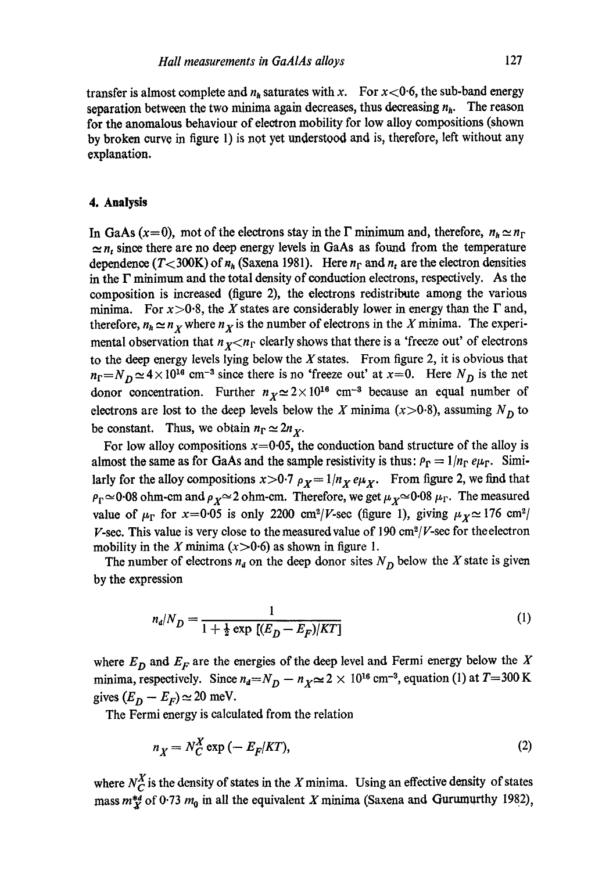transfer is almost complete and  $n_h$  saturates with x. For  $x < 0.6$ , the sub-band energy separation between the two minima again decreases, thus decreasing  $n<sub>h</sub>$ . The reason for the anomalous behaviour of electron mobility for low alloy compositions (shown by broken curve in figure 1) is not yet understood and is, therefore, left without any explanation.

## **4. Analysis**

In GaAs (x=0), mot of the electrons stay in the  $\Gamma$  minimum and, therefore,  $n_h \simeq n_\Gamma$  $\approx n_t$  since there are no deep energy levels in GaAs as found from the temperature dependence  $(T < 300 \text{K})$  of  $n_h$  (Saxena 1981). Here  $n_r$  and  $n_t$  are the electron densities in the  $\Gamma$  minimum and the total density of conduction electrons, respectively. As the composition is increased (figure 2), the electrons redistribute among the various minima. For  $x > 0.8$ , the X states are considerably lower in energy than the  $\Gamma$  and, therefore,  $n_h \simeq n_X$  where  $n_X$  is the number of electrons in the X minima. The experimental observation that  $n_x < n_r$  clearly shows that there is a 'freeze out' of electrons to the deep energy levels lying below the  $X$  states. From figure 2, it is obvious that  $n_F=N_D \simeq 4 \times 10^{16}$  cm<sup>-3</sup> since there is no 'freeze out' at x=0. Here  $N_D$  is the net donor concentration. Further  $n_x \approx 2 \times 10^{16}$  cm<sup>-3</sup> because an equal number of electrons are lost to the deep levels below the X minima ( $x > 0.8$ ), assuming  $N<sub>D</sub>$  to be constant. Thus, we obtain  $n_{\rm r} \simeq 2n_{\rm x}$ .

For low alloy compositions  $x=0.05$ , the conduction band structure of the alloy is almost the same as for GaAs and the sample resistivity is thus:  $\rho_{\Gamma} = 1/n_{\Gamma} e \mu_{\Gamma}$ . Similarly for the alloy compositions  $x>0.7$   $\rho_X = 1/n_X e\mu_X$ . From figure 2, we find that  $\rho_{\Gamma} \simeq 0.08$  ohm-cm and  $\rho_{X} \simeq 2$  ohm-cm. Therefore, we get  $\mu_{X} \simeq 0.08 \mu_{\Gamma}$ . The measured value of  $\mu_{\Gamma}$  for x=0.05 is only 2200 cm<sup>2</sup>/V-sec (figure 1), giving  $\mu_X \approx 176$  cm<sup>2</sup>/ V-sec. This value is very close to the measured value of 190  $\text{cm}^2$ /V-sec for the electron mobility in the X minima  $(x>0.6)$  as shown in figure 1.

The number of electrons  $n_d$  on the deep donor sites  $N_D$  below the X state is given by the expression

$$
n_d/N_D = \frac{1}{1 + \frac{1}{2} \exp\left[ (E_D - E_F) / KT \right]} \tag{1}
$$

where  $E_D$  and  $E_F$  are the energies of the deep level and Fermi energy below the X minima, respectively. Since  $n_d = N_D - n_X \approx 2 \times 10^{16}$  cm<sup>-3</sup>, equation (1) at  $T = 300$  K gives  $(E_D - E_F) \simeq 20$  meV.

The Fermi energy is calculated from the relation

$$
n_X = N_C^X \exp\left(-E_F|KT\right),\tag{2}
$$

where  $N_C^X$  is the density of states in the X minima. Using an effective density of states mass  $m_X^{*d}$  of 0.73  $m_0$  in all the equivalent X minima (Saxena and Gurumurthy 1982),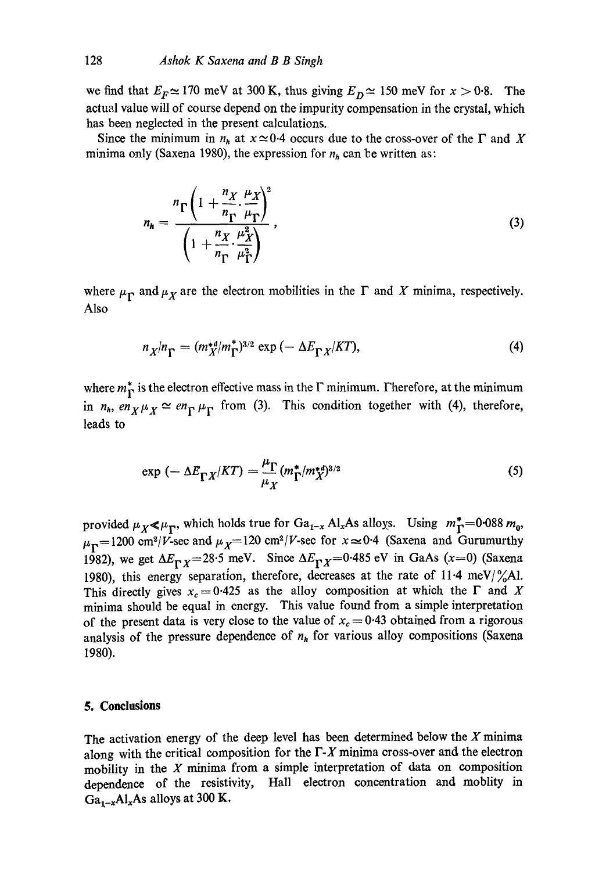we find that  $E_F \approx 170$  meV at 300 K, thus giving  $E_D \approx 150$  meV for  $x > 0.8$ . The actual value will of course depend on the impurity compensation in the crystal, which has been neglected in the present calculations.

Since the minimum in  $n_h$  at  $x \approx 0.4$  occurs due to the cross-over of the  $\Gamma$  and X minima only (Saxena 1980), the expression for  $n_h$  can be written as:

$$
n_h = \frac{{}^n \Gamma \left(1 + \frac{{}^n \chi}{n_{\Gamma}} \cdot \frac{\mu_X}{\mu_{\Gamma}}\right)^2}{\left(1 + \frac{{}^n \chi}{n_{\Gamma}} \cdot \frac{{}^n \chi}{\mu_{\Gamma}^2}\right)^2}, \qquad (3)
$$

where  $\mu_{\Gamma}$  and  $\mu_X$  are the electron mobilities in the  $\Gamma$  and X minima, respectively. Also

$$
n_X/n_{\Gamma} = (m_X^{*d}/m_{\Gamma}^*)^{3/2} \exp\left(-\Delta E_{\Gamma X}/KT\right),\tag{4}
$$

where  $m_{\Gamma}^*$  is the electron effective mass in the  $\Gamma$  minimum. Therefore, at the minimum in  $n_h$ ,  $en_X \mu_X \simeq en_\Gamma \mu_\Gamma$  from (3). This condition together with (4), therefore, leads to

$$
\exp\left(-\Delta E_{\Gamma X}/KT\right) = \frac{\mu_{\Gamma}}{\mu_X} (m_{\Gamma}^*/m_X^{*d})^{3/2} \tag{5}
$$

provided  $\mu_X \ll \mu_T$ , which holds true for Ga<sub>1-x</sub> Al<sub>x</sub>As alloys. Using  $m_T^* = 0.088 m_0$ ,  $\mu_{\rm F}=1200$  cm<sup>2</sup>/V-sec and  $\mu_{\chi}=120$  cm<sup>2</sup>/V-sec for  $x\approx 0.4$  (Saxena and Gurumurthy 1982), we get  $\Delta E_{\Gamma X} = 28.5$  meV. Since  $\Delta E_{\Gamma X} = 0.485$  eV in GaAs (x=0) (Saxena 1980), this energy separation, therefore, decreases at the rate of 11.4 meV/ $\frac{\%}{6}$ Al. This directly gives  $x_c = 0.425$  as the alloy composition at which the  $\Gamma$  and X minima should be equal in energy. This value found from a simple interpretation of the present data is very close to the value of  $x_c = 0.43$  obtained from a rigorous analysis of the pressure dependence of *nh* for various alloy compositions (Saxena 1980).

### **5. Conclusions**

The activation energy of the deep level has been determined below the  $X$  minima along with the critical composition for the  $\Gamma$ -X minima cross-over and the electron mobility in the  $X$  minima from a simple interpretation of data on composition dependence of the resistivity, Hall electron concentration and moblity in  $Ga_{1-x}Al_xAs$  alloys at 300 K.